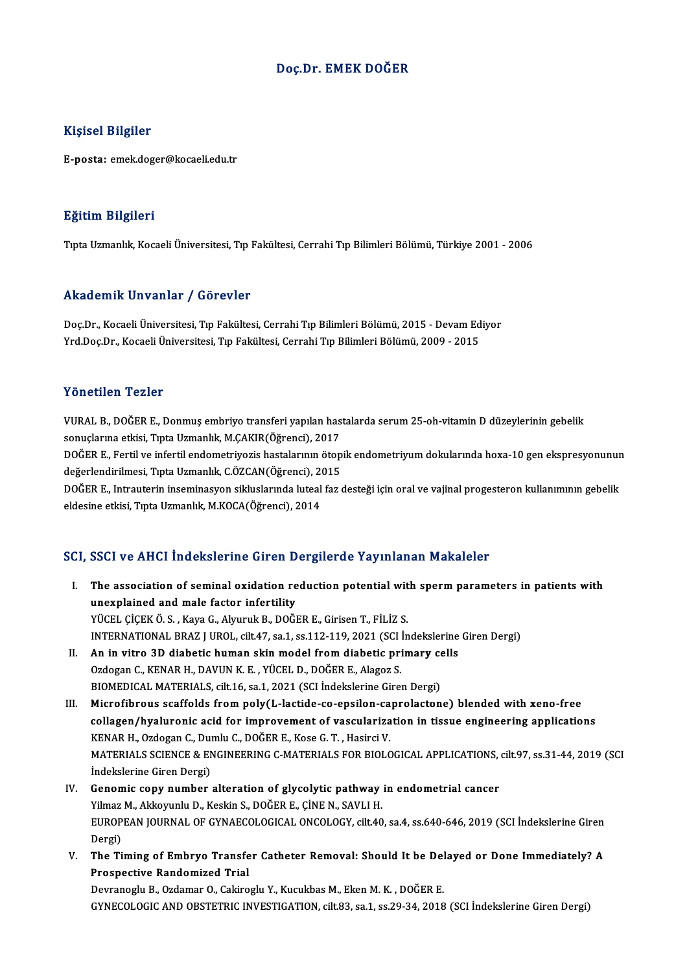## Doç.Dr. EMEK DOĞER

## Kişisel Bilgiler

E-posta: emek.doger@kocaeli.edu.tr

### Eğitim Bilgileri

TıptaUzmanlık,KocaeliÜniversitesi,Tıp Fakültesi,CerrahiTıpBilimleriBölümü,Türkiye 2001 -2006

### Akademik Unvanlar / Görevler

Akademik Unvanlar / Görevler<br>Doç.Dr., Kocaeli Üniversitesi, Tıp Fakültesi, Cerrahi Tıp Bilimleri Bölümü, 2015 - Devam Ediyor<br>Yrd Dos Dr. Kosaeli Üniversitesi, Tıp Fakültesi, Cerrahi Tıp Bilimleri Bölümü, 2009, -2015 Yrkuu olirik "Olivulitar" / "USF ovtor"<br>Doç.Dr., Kocaeli Üniversitesi, Tıp Fakültesi, Cerrahi Tıp Bilimleri Bölümü, 2015 - Devam Ed<br>Yrd.Doç.Dr., Kocaeli Üniversitesi, Tıp Fakültesi, Cerrahi Tıp Bilimleri Bölümü, 2009 - 201 Yrd.Doç.Dr., Kocaeli Üniversitesi, Tıp Fakültesi, Cerrahi Tıp Bilimleri Bölümü, 2009 - 2015<br>Yönetilen Tezler

Yönetilen Tezler<br>VURAL B., DOĞER E., Donmuş embriyo transferi yapılan hastalarda serum 25-oh-vitamin D düzeylerinin gebelik<br>senyelerine etkisi, Tata Uzmanlık, M.CAKIR(Öğrensi), 2017 s oncencir i cziel<br>VURAL B., DOĞER E., Donmuş embriyo transferi yapılan has<br>sonuçlarına etkisi, Tıpta Uzmanlık, M.ÇAKIR(Öğrenci), 2017<br>DOĞER E. Fertil ve infertil ondemetriyesis bestelerinin öten VURAL B., DOĞER E., Donmuş embriyo transferi yapılan hastalarda serum 25-oh-vitamin D düzeylerinin gebelik<br>sonuçlarına etkisi, Tıpta Uzmanlık, M.ÇAKIR(Öğrenci), 2017<br>DOĞER E., Fertil ve infertil endometriyozis hastalarının

sonuçlarına etkisi, Tıpta Uzmanlık, M.ÇAKIR(Öğrenci), 2017<br>DOĞER E., Fertil ve infertil endometriyozis hastalarının ötop<br>değerlendirilmesi, Tıpta Uzmanlık, C.ÖZCAN(Öğrenci), 2015<br>DOĞER E. Intrauterin inceminasyon sikluslar DOĞER E., Fertil ve infertil endometriyozis hastalarının ötopik endometriyum dokularında hoxa-10 gen ekspresyonunur<br>değerlendirilmesi, Tıpta Uzmanlık, C.ÖZCAN(Öğrenci), 2015<br>DOĞER E., Intrauterin inseminasyon sikluslarında

değerlendirilmesi, Tıpta Uzmanlık, C.ÖZCAN(Öğrenci), 2<br>DOĞER E., Intrauterin inseminasyon sikluslarında luteal<br>eldesine etkisi, Tıpta Uzmanlık, M.KOCA(Öğrenci), 2014

# eldesine etkisi, Tıpta Uzmanlık, M.KOCA(Öğrenci), 2014<br>SCI, SSCI ve AHCI İndekslerine Giren Dergilerde Yayınlanan Makaleler

CI, SSCI ve AHCI İndekslerine Giren Dergilerde Yayınlanan Makaleler<br>I. The association of seminal oxidation reduction potential with sperm parameters in patients with<br>weavelained and male factor infortility The association of seminal oxidation re<br>unexplained and male factor infertility<br>viceu cicey o s. Yous C. Abnundi B. DOČI unexplained and male factor infertility<br>YÜCEL ÇİÇEKÖ.S., Kaya G., Alyuruk B., DOĞER E., Girisen T., FİLİZ S. unexplained and male factor infertility<br>YÜCEL ÇİÇEK Ö.S., Kaya G., Alyuruk B., DOĞER E., Girisen T., FİLİZ S.<br>INTERNATIONAL BRAZ J UROL, cilt.47, sa.1, ss.112-119, 2021 (SCI İndekslerine Giren Dergi)<br>An in vitre 3D diabeti YÜCEL ÇİÇEK Ö. S., Kaya G., Alyuruk B., DOĞER E., Girisen T., FİLİZ S.<br>INTERNATIONAL BRAZ J UROL, cilt.47, sa.1, ss.112-119, 2021 (SCI İndekslerine<br>II. An in vitro 3D diabetic human skin model from diabetic primary cells<br>O INTERNATIONAL BRAZ J UROL, cilt.47, sa.1, ss.112-119, 2021 (SCI )<br>An in vitro 3D diabetic human skin model from diabetic pri<br>Ozdogan C., KENAR H., DAVUN K. E. , YÜCEL D., DOĞER E., Alagoz S.<br>PIOMEDICAL MATEDIALS silt 16, s II. An in vitro 3D diabetic human skin model from diabetic primary cells<br>Ozdogan C., KENAR H., DAVUN K. E., YÜCEL D., DOĞER E., Alagoz S.<br>BIOMEDICAL MATERIALS, cilt.16, sa.1, 2021 (SCI İndekslerine Giren Dergi) III. Microfibrous scaffolds from poly(L-lactide-co-epsilon-caprolactone) blended with xeno-free BIOMEDICAL MATERIALS, cilt.16, sa.1, 2021 (SCI İndekslerine Giren Dergi)<br>Microfibrous scaffolds from poly(L-lactide-co-epsilon-caprolactone) blended with xeno-free<br>collagen/hyaluronic acid for improvement of vascularizatio Microfibrous scaffolds from poly(L-lactide-co-epsilon-ca<br>collagen/hyaluronic acid for improvement of vasculariza<br>KENAR H., Ozdogan C., Dumlu C., DOĞER E., Kose G. T. , Hasirci V.<br>MATERIALS SCIENCE & ENCINEERING G MATERIALS

collagen/hyaluronic acid for improvement of vascularization in tissue engineering applications<br>KENAR H., Ozdogan C., Dumlu C., DOĞER E., Kose G. T. , Hasirci V.<br>MATERIALS SCIENCE & ENGINEERING C-MATERIALS FOR BIOLOGICAL AP KENAR H., Ozdogan C., Dui<br>MATERIALS SCIENCE & EN<br>İndekslerine Giren Dergi)<br>Canamia sanı: numbar MATERIALS SCIENCE & ENGINEERING C-MATERIALS FOR BIOLOGICAL APPLICATIONS,<br>
indekslerine Giren Dergi)<br>
IV. Genomic copy number alteration of glycolytic pathway in endometrial cancer<br>
Vilmer M. Altkarunhu D. Koskin S. DOČER E

- İndekslerine Giren Dergi)<br>Genomic copy number alteration of glycolytic pathway<br>Yilmaz M., Akkoyunlu D., Keskin S., DOĞER E., ÇİNE N., SAVLI H.<br>FUROPEAN JOURNAL OF CYNAFCOLOCICAL ONÇOLOCY, silt 40 EUROPEAN JOURNAL OF GYNAECOLOGICAL ONCOLOGY, cilt.40, sa.4, ss.640-646, 2019 (SCI İndekslerine Giren<br>Dergi) Yilmaz M., Akkoyunlu D., Keskin S., DOĞER E., ÇİNE N., SAVLI H. EUROPEAN JOURNAL OF GYNAECOLOGICAL ONCOLOGY, cilt.40, sa.4, ss.640-646, 2019 (SCI İndekslerine Giren<br>Dergi)<br>V. The Timing of Embryo Transfer Catheter Removal: Should It be Delayed or Done Immediately? A<br>Prespective Pandemi
- Dergi)<br>The Timing of Embryo Transfe<br>Prospective Randomized Trial<br>Dewranesh: B. Ordamar O. Cakine

Prospective Randomized Trial<br>Devranoglu B., Ozdamar O., Cakiroglu Y., Kucukbas M., Eken M. K. , DOĞER E. GYNECOLOGICANDOBSTETRICINVESTIGATION, cilt.83, sa.1, ss.29-34,2018 (SCI İndekslerineGirenDergi)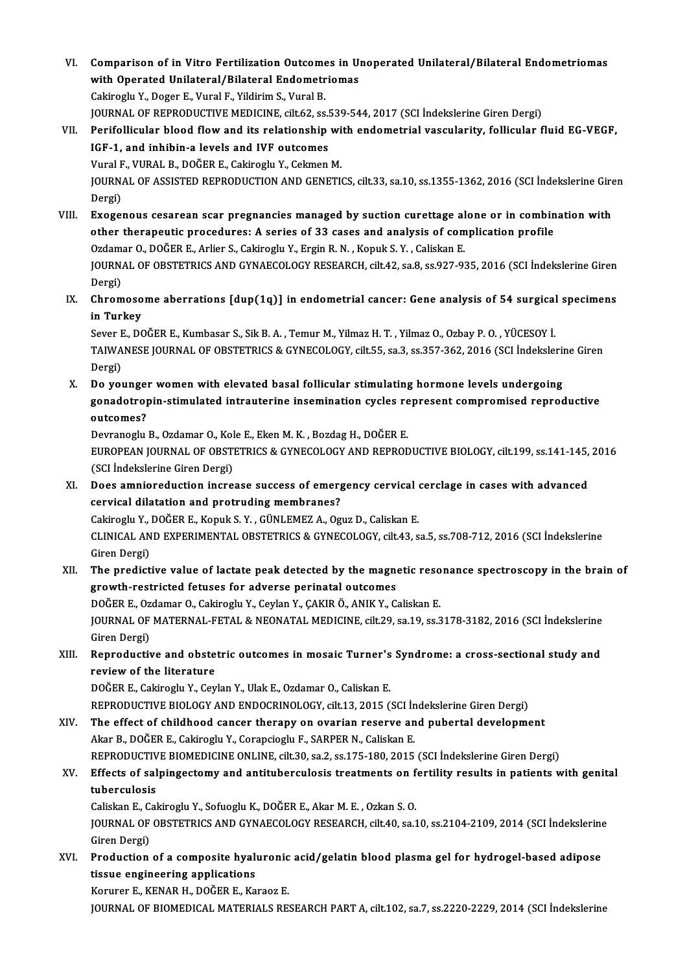- VI. Comparison of in Vitro Fertilization Outcomes in Unoperated Unilateral/Bilateral Endometriomas Comparison of in Vitro Fertilization Outcomes in U<br>with Operated Unilateral/Bilateral Endometriomas<br>Celipagly V. Dogen E. Vivrel E. Vildinim S. Vivrel P Comparison of in Vitro Fertilization Outcome<br>with Operated Unilateral/Bilateral Endometr<br>Cakiroglu Y., Doger E., Vural F., Yildirim S., Vural B.<br>JOUPMAL OF PERRODUCTIVE MEDICINE silt 62.88 with Operated Unilateral/Bilateral Endometriomas<br>Cakiroglu Y., Doger E., Vural F., Yildirim S., Vural B.<br>JOURNAL OF REPRODUCTIVE MEDICINE, cilt.62, ss.539-544, 2017 (SCI İndekslerine Giren Dergi)<br>Perifellisular blood flow Cakiroglu Y., Doger E., Vural F., Yildirim S., Vural B.<br>JOURNAL OF REPRODUCTIVE MEDICINE, cilt.62, ss.539-544, 2017 (SCI İndekslerine Giren Dergi)<br>VII. Perifollicular blood flow and its relationship with endometrial vascul
- JOURNAL OF REPRODUCTIVE MEDICINE, cilt.62, ss.!<br>Perifollicular blood flow and its relationship<br>IGF-1, and inhibin-a levels and IVF outcomes<br>Vural E. VURAL B. DOČER E. Cakiroslu Y. Colmon Perifollicular blood flow and its relationship wi<br>IGF-1, and inhibin-a levels and IVF outcomes<br>Vural F., VURAL B., DOĞER E., Cakiroglu Y., Cekmen M.<br>JOURNAL OF ASSISTED RERRODUCTION AND CENETIC JOURNAL OF ASSISTED REPRODUCTION AND GENETICS, cilt.33, sa.10, ss.1355-1362, 2016 (SCI İndekslerine Giren<br>Dergi) Vural F<br>JOURN<br>Dergi)<br>Exessi
- JOURNAL OF ASSISTED REPRODUCTION AND GENETICS, cilt.33, sa.10, ss.1355-1362, 2016 (SCI Indekslerine Gire<br>Dergi)<br>VIII. Exogenous cesarean scar pregnancies managed by suction curettage alone or in combination with<br>other ther Dergi)<br>Exogenous cesarean scar pregnancies managed by suction curettage alone or in combin<br>other therapeutic procedures: A series of 33 cases and analysis of complication profile<br>Ordaman Q DOČER E. Arliar S. Cakinggly V. E Exogenous cesarean scar pregnancies managed by suction curettage al<br>other therapeutic procedures: A series of 33 cases and analysis of com<br>Ozdamar O., DOĞER E., Arlier S., Cakiroglu Y., Ergin R.N. , Kopuk S.Y. , Caliskan E other therapeutic procedures: A series of 33 cases and analysis of complication profile<br>Ozdamar O., DOĞER E., Arlier S., Cakiroglu Y., Ergin R. N. , Kopuk S. Y. , Caliskan E.<br>JOURNAL OF OBSTETRICS AND GYNAECOLOGY RESEARCH, Ozdam<br>JOURN<br>Dergi)<br>Chrom JOURNAL OF OBSTETRICS AND GYNAECOLOGY RESEARCH, cilt.42, sa.8, ss.927-935, 2016 (SCI İndekslerine Giren<br>Dergi)<br>IX. Chromosome aberrations [dup(1q)] in endometrial cancer: Gene analysis of 54 surgical specimens<br>in Turkey
- Dergi)<br>Chromoso<br>in Turkey<br>Sover E. DC Chromosome aberrations [dup(1q)] in endometrial cancer: Gene analysis of 54 surgical<br>in Turkey<br>Sever E., DOĞER E., Kumbasar S., Sik B.A. , Temur M., Yilmaz H. T. , Yilmaz O., Ozbay P. O. , YÜCESOY İ.<br>TAIWANESE JOUPNAL OF O

i**n Turkey**<br>Sever E., DOĞER E., Kumbasar S., Sik B. A. , Temur M., Yilmaz H. T. , Yilmaz O., Ozbay P. O. , YÜCESOY İ.<br>TAIWANESE JOURNAL OF OBSTETRICS & GYNECOLOGY, cilt.55, sa.3, ss.357-362, 2016 (SCI İndekslerine Giren Dergi) TAIWANESE JOURNAL OF OBSTETRICS & GYNECOLOGY, cilt.55, sa.3, ss.357-362, 2016 (SCI Indekslerin<br>Dergi)<br>X. Do younger women with elevated basal follicular stimulating hormone levels undergoing<br>Sanadatranin stimulated intraut

Dergi)<br>Do younger women with elevated basal follicular stimulating hormone levels undergoing<br>gonadotropin-stimulated intrauterine insemination cycles represent compromised reproductive<br>auteomee? Do younge<br>gonadotroj<br>outcomes?<br>Dovranoglu gonadotropin-stimulated intrauterine insemination cycles re<br>outcomes?<br>Devranoglu B., Ozdamar O., Kole E., Eken M. K. , Bozdag H., DOĞER E.<br>FUROPEAN JOURNAL OF ORSTETRICS & CYNECOLOCY AND REPROP

outcomes?<br>Devranoglu B., Ozdamar O., Kole E., Eken M. K. , Bozdag H., DOĞER E.<br>EUROPEAN JOURNAL OF OBSTETRICS & GYNECOLOGY AND REPRODUCTIVE BIOLOGY, cilt.199, ss.141-145, 2016<br>(SCI İndekslerine Giren Dergi) Devranoglu B., Ozdamar O., Kol<br>EUROPEAN JOURNAL OF OBSTI<br>(SCI İndekslerine Giren Dergi)<br>Dess amnionadustion insta EUROPEAN JOURNAL OF OBSTETRICS & GYNECOLOGY AND REPRODUCTIVE BIOLOGY, cilt.199, ss.141-145,<br>(SCI Indekslerine Giren Dergi)<br>XI. Does amnioreduction increase success of emergency cervical cerclage in cases with advanced<br>conv

- (SCI İndekslerine Giren Dergi)<br>Does amnioreduction increase success of emerg<br>cervical dilatation and protruding membranes?<br>Cekinesh: Y. DOČER E. Kopuk S. Y. CÜNI EMEZ A. OT. Does amnioreduction increase success of emergency cervical (<br>cervical dilatation and protruding membranes?<br>Cakiroglu Y., DOĞER E., Kopuk S. Y. , GÜNLEMEZ A., Oguz D., Caliskan E.<br>CLINICAL AND EXPERIMENTAL OBSTETRICS & CYNE cervical dilatation and protruding membranes?<br>Cakiroglu Y., DOĞER E., Kopuk S. Y. , GÜNLEMEZ A., Oguz D., Caliskan E.<br>CLINICAL AND EXPERIMENTAL OBSTETRICS & GYNECOLOGY, cilt.43, sa.5, ss.708-712, 2016 (SCI İndekslerine<br>Cir Cakiroglu Y., J<br>CLINICAL AN<br>Giren Dergi)<br>The predict
- CLINICAL AND EXPERIMENTAL OBSTETRICS & GYNECOLOGY, cilt.43, sa.5, ss.708-712, 2016 (SCI Indekslerine<br>Giren Dergi)<br>XII. The predictive value of lactate peak detected by the magnetic resonance spectroscopy in the brain of<br>gr Giren Dergi)<br>The predictive value of lactate peak detected by the magnetic resonance spectroscopy in the brain of<br>growth-restricted fetuses for adverse perinatal outcomes The predictive value of lactate peak detected by the magnetic reso<br>growth-restricted fetuses for adverse perinatal outcomes<br>DOĞER E., Ozdamar O., Cakiroglu Y., Ceylan Y., ÇAKIR Ö., ANIK Y., Caliskan E.<br>JOUPMAL OE MATERMAL

JOURNAL OF MATERNAL-FETAL & NEONATAL MEDICINE, cilt.29, sa.19, ss.3178-3182, 2016 (SCI İndekslerine<br>Giren Dergi) DOĞER E., Oz<br>JOURNAL OF<br>Giren Dergi)<br>Pennedusti: JOURNAL OF MATERNAL-FETAL & NEONATAL MEDICINE, cilt.29, sa.19, ss.3178-3182, 2016 (SCI Indekslerine<br>Giren Dergi)<br>XIII. Reproductive and obstetric outcomes in mosaic Turner's Syndrome: a cross-sectional study and<br>nextions o

Giren Dergi)<br>Reproductive and obste<br>review of the literature<br>DOČEP E. Cakiresky Y. Cov Reproductive and obstetric outcomes in mosaic Turner's<br>review of the literature<br>DOĞER E., Cakiroglu Y., Ceylan Y., Ulak E., Ozdamar O., Caliskan E.<br>REPRODUCTIVE RIOLOCY AND ENDOCRINOLOCY .sit 12, 2015 ( review of the literature<br>DOĞER E., Cakiroglu Y., Ceylan Y., Ulak E., Ozdamar O., Caliskan E.<br>REPRODUCTIVE BIOLOGY AND ENDOCRINOLOGY, cilt.13, 2015 (SCI İndekslerine Giren Dergi)<br>The effect of childhood cancer thereny en ev

DOĞER E., Cakiroglu Y., Ceylan Y., Ulak E., Ozdamar O., Caliskan E.<br>REPRODUCTIVE BIOLOGY AND ENDOCRINOLOGY, cilt.13, 2015 (SCI İndekslerine Giren Dergi)<br>XIV. The effect of childhood cancer therapy on ovarian reserve and pu REPRODUCTIVE BIOLOGY AND ENDOCRINOLOGY, cilt.13, 2015 (SCI İn<br>The effect of childhood cancer therapy on ovarian reserve an<br>Akar B., DOĞER E., Cakiroglu Y., Corapcioglu F., SARPER N., Caliskan E.<br>REPRODUCTIVE PIOMEDICINE ON The effect of childhood cancer therapy on ovarian reserve and pubertal development<br>Akar B., DOĞER E., Cakiroglu Y., Corapcioglu F., SARPER N., Caliskan E.<br>REPRODUCTIVE BIOMEDICINE ONLINE, cilt.30, sa.2, ss.175-180, 2015 (S Akar B., DOĞER E., Cakiroglu Y., Corapcioglu F., SARPER N., Caliskan E.<br>REPRODUCTIVE BIOMEDICINE ONLINE, cilt.30, sa.2, ss.175-180, 2015 (SCI İndekslerine Giren Dergi)<br>XV. Effects of salpingectomy and antituberculosis

## REPRODUCTIV<br>Effects of sal<br>tuberculosis<br>Coliskan E. Col Effects of salpingectomy and antituberculosis treatments on f<br>tuberculosis<br>Caliskan E., Cakiroglu Y., Sofuoglu K., DOĞER E., Akar M. E. , Ozkan S. O.<br>JOUPMAL OF OPSTETPICS AND CYMAECOLOCY PESEARCH sit 40, se 1

tuberculosis<br>Caliskan E., Cakiroglu Y., Sofuoglu K., DOĞER E., Akar M. E. , Ozkan S. O.<br>JOURNAL OF OBSTETRICS AND GYNAECOLOGY RESEARCH, cilt.40, sa.10, ss.2104-2109, 2014 (SCI İndekslerine<br>Giren Dergi) Caliskan E., Cakiroglu Y., Sofuoglu K., DOĞER E., Akar M. E., Ozkan S. O. JOURNAL OF OBSTETRICS AND GYNAECOLOGY RESEARCH, cilt.40, sa.10, ss.2104-2109, 2014 (SCI İndekslerine<br>Giren Dergi)<br>XVI. Production of a composite hyaluronic acid/gelatin blood plasma gel for hydrogel-based adipose<br>tigaus an

Giren Dergi)<br>Production of a composite hyali<br>tissue engineering applications<br>Komunan E. KENAR H. DOČER E. Ko Production of a composite hyaluronic<br>tissue engineering applications<br>Korurer E., KENAR H., DOĞER E., Karaoz E.<br>JOUPNAL OF PJOMEDICAL MATEDIALS PES

tissue engineering applications<br>Korurer E., KENAR H., DOĞER E., Karaoz E.<br>JOURNAL OF BIOMEDICAL MATERIALS RESEARCH PART A, cilt.102, sa.7, ss.2220-2229, 2014 (SCI İndekslerine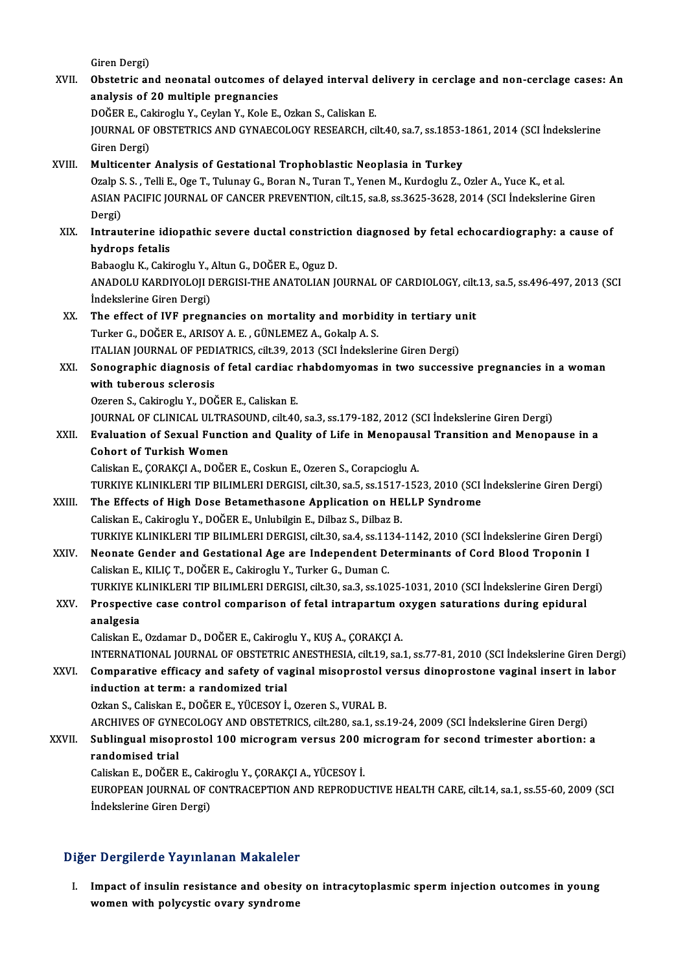Giren Dergi)

Giren Dergi)<br>XVII. Obstetric and neonatal outcomes of delayed interval delivery in cerclage and non-cerclage cases: An Giren Dergi)<br>Obstetric and neonatal outcomes of<br>analysis of 20 multiple pregnancies<br>DOČER E. Gebireshu Y. Gerlan Y. Kele E. analysis of 20 multiple pregnancies<br>DOĞER E., Cakiroglu Y., Ceylan Y., Kole E., Ozkan S., Caliskan E. analysis of 20 multiple pregnancies<br>DOĞER E., Cakiroglu Y., Ceylan Y., Kole E., Ozkan S., Caliskan E.<br>JOURNAL OF OBSTETRICS AND GYNAECOLOGY RESEARCH, cilt.40, sa.7, ss.1853-1861, 2014 (SCI İndekslerine<br>Ciron Dergi) DOĞER E., Ca<br>JOURNAL OF<br>Giren Dergi)<br>Multicanter Giren Dergi)<br>XVIII. Multicenter Analysis of Gestational Trophoblastic Neoplasia in Turkey Ozalp S. S., Telli E., Oge T., Tulunay G., Boran N., Turan T., Yenen M., Kurdoglu Z., Ozler A., Yuce K., et al. Multicenter Analysis of Gestational Trophoblastic Neoplasia in Turkey<br>Ozalp S. S. , Telli E., Oge T., Tulunay G., Boran N., Turan T., Yenen M., Kurdoglu Z., Ozler A., Yuce K., et al<br>ASIAN PACIFIC JOURNAL OF CANCER PREVENTI Ozalp S<br>ASIAN<br>Dergi)<br>Intrau ASIAN PACIFIC JOURNAL OF CANCER PREVENTION, cilt.15, sa.8, ss.3625-3628, 2014 (SCI Indekslerine Giren<br>Dergi)<br>XIX. Intrauterine idiopathic severe ductal constriction diagnosed by fetal echocardiography: a cause of<br>hydrons f Dergi)<br>Intrauterine idi<br>hydrops fetalis<br><sup>Robooglu K. Coki</sub></sup> Intrauterine idiopathic severe ductal constricti<br>hydrops fetalis<br>Babaoglu K., Cakiroglu Y., Altun G., DOĞER E., Oguz D.<br>ANADOLU KARDIYOLOU DERCISLTHE ANATOLIAN I hydrops fetalis<br>Babaoglu K., Cakiroglu Y., Altun G., DOĞER E., Oguz D.<br>ANADOLU KARDIYOLOJI DERGISI-THE ANATOLIAN JOURNAL OF CARDIOLOGY, cilt.13, sa.5, ss.496-497, 2013 (SCI<br>İndekslerine Ciren Dergi) Babaoglu K., Cakiroglu Y., .<br>ANADOLU KARDIYOLOJI D<br>İndekslerine Giren Dergi)<br>The offect of IVE progn ANADOLU KARDIYOLOJI DERGISI-THE ANATOLIAN JOURNAL OF CARDIOLOGY, cilt.<br>
indekslerine Giren Dergi)<br>
XX. The effect of IVF pregnancies on mortality and morbidity in tertiary unit<br>
Turker G. DOČER E. ARISOV A. E. CÜNLEMEZ A. İndekslerine Giren Dergi)<br>The effect of IVF pregnancies on mortality and morbid<br>Turker G., DOĞER E., ARISOY A. E. , GÜNLEMEZ A., Gokalp A. S.<br>ITALIAN JOURNAL OF PEDIATRICS silt 20, 2012 (SCL İndekle The effect of IVF pregnancies on mortality and morbidity in tertiary u<br>Turker G., DOĞER E., ARISOY A. E. , GÜNLEMEZ A., Gokalp A. S.<br>ITALIAN JOURNAL OF PEDIATRICS, cilt.39, 2013 (SCI İndekslerine Giren Dergi)<br>Sanasyanhia d Turker G., DOĞER E., ARISOY A. E. , GÜNLEMEZ A., Gokalp A. S.<br>ITALIAN JOURNAL OF PEDIATRICS, cilt.39, 2013 (SCI İndekslerine Giren Dergi)<br>XXI. Sonographic diagnosis of fetal cardiac rhabdomyomas in two successive pregnanci **ITALIAN JOURNAL OF PEDI<br>Sonographic diagnosis<br>with tuberous sclerosis**<br>Ozeren S. Gebinerly V. DOC Sonographic diagnosis of fetal cardiac i<br>with tuberous sclerosis<br>Ozeren S., Cakiroglu Y., DOĞER E., Caliskan E.<br>JOUPNAL OF CLINICAL ULTPASOUND, silt 40 with tuberous sclerosis<br>Ozeren S., Cakiroglu Y., DOĞER E., Caliskan E.<br>JOURNAL OF CLINICAL ULTRASOUND, cilt.40, sa.3, ss.179-182, 2012 (SCI İndekslerine Giren Dergi) Ozeren S., Cakiroglu Y., DOĞER E., Caliskan E.<br>JOURNAL OF CLINICAL ULTRASOUND, cilt40, sa.3, ss.179-182, 2012 (SCI İndekslerine Giren Dergi)<br>XXII. Evaluation of Sexual Function and Quality of Life in Menopausal Transit **JOURNAL OF CLINICAL ULTRA<br>Evaluation of Sexual Funct<br>Cohort of Turkish Women**<br>Calislian F. COPAKCLA, DOČE Cohort of Turkish Women<br>Caliskan E., ÇORAKÇI A., DOĞER E., Coskun E., Ozeren S., Corapcioglu A. Cohort of Turkish Women<br>Caliskan E., ÇORAKÇI A., DOĞER E., Coskun E., Ozeren S., Corapcioglu A.<br>TURKIYE KLINIKLERI TIP BILIMLERI DERGISI, cilt.30, sa.5, ss.1517-1523, 2010 (SCI İndekslerine Giren Dergi)<br>The Effects of High Caliskan E., ÇORAKÇI A., DOĞER E., Coskun E., Ozeren S., Corapcioglu A.<br>TURKIYE KLINIKLERI TIP BILIMLERI DERGISI, cilt.30, sa.5, ss.1517-1523, 2010 (SCI<br>XXIII. The Effects of High Dose Betamethasone Application on HELLP Sy TURKIYE KLINIKLERI TIP BILIMLERI DERGISI, cilt.30, sa.5, ss.1517-<br>The Effects of High Dose Betamethasone Application on HE<br>Caliskan E., Cakiroglu Y., DOĞER E., Unlubilgin E., Dilbaz S., Dilbaz B.<br>TURKIYE KI INIKLERI TIR BI The Effects of High Dose Betamethasone Application on HELLP Syndrome<br>Caliskan E., Cakiroglu Y., DOĞER E., Unlubilgin E., Dilbaz S., Dilbaz B.<br>TURKIYE KLINIKLERI TIP BILIMLERI DERGISI, cilt.30, sa.4, ss.1134-1142, 2010 (SCI Caliskan E., Cakiroglu Y., DOĞER E., Unlubilgin E., Dilbaz S., Dilbaz B.<br>TURKIYE KLINIKLERI TIP BILIMLERI DERGISI, cilt.30, sa.4, ss.1134-1142, 2010 (SCI İndekslerine Giren Der;<br>XXIV. Neonate Gender and Gestational Age are TURKIYE KLINIKLERI TIP BILIMLERI DERGISI, cilt.30, sa.4, ss.11.<br>Neonate Gender and Gestational Age are Independent De<br>Caliskan E., KILIÇ T., DOĞER E., Cakiroglu Y., Turker G., Duman C.<br>TURKIYE KLINIKI ERLTIR BILIMLERI DERG Neonate Gender and Gestational Age are Independent Determinants of Cord Blood Troponin I<br>Caliskan E., KILIÇ T., DOĞER E., Cakiroglu Y., Turker G., Duman C.<br>TURKIYE KLINIKLERI TIP BILIMLERI DERGISI, cilt.30, sa.3, ss.1025-1 Caliskan E., KILIÇ T., DOĞER E., Cakiroglu Y., Turker G., Duman C.<br>TURKIYE KLINIKLERI TIP BILIMLERI DERGISI, cilt.30, sa.3, ss.1025-1031, 2010 (SCI İndekslerine Giren Der<br>XXV. Prospective case control comparison of fetal i TURKIYE K<br>Prospectiv<br>analgesia<br>Coliskan E Prospective case control comparison of fetal intrapartum oxygen saturations during epidural<br>analgesia<br>Caliskan E., Ozdamar D., DOĞER E., Cakiroglu Y., KUŞ A., ÇORAKÇI A. INTERNATIONAL JOURNAL OF OBSTETRIC ANESTHESIA, cilt.19, sa.1, ss.77-81, 2010 (SCI İndekslerine Giren Dergi) Caliskan E., Ozdamar D., DOĞER E., Cakiroglu Y., KUŞ A., ÇORAKÇI A.<br>INTERNATIONAL JOURNAL OF OBSTETRIC ANESTHESIA, cilt.19, sa.1, ss.77-81, 2010 (SCI İndekslerine Giren Derg<br>XXVI. Comparative efficacy and safety of vaginal induction at term: a randomized trial<br>Ozkan S., Caliskan E., DOĞER E., YÜCESOY İ., Ozeren S., VURAL B. Comparative efficacy and safety of vaginal misoprostol v<br>induction at term: a randomized trial<br>Ozkan S., Caliskan E., DOĞER E., YÜCESOY İ., Ozeren S., VURAL B.<br>ARCHIVES OF CYNECOLOCY AND ORSTETRICS silt 280 SR 1 SS. ARCHIVES OF GYNECOLOGY AND OBSTETRICS, cilt.280, sa.1, ss.19-24, 2009 (SCI İndekslerine Giren Dergi) Ozkan S., Caliskan E., DOĞER E., YÜCESOY İ., Ozeren S., VURAL B.<br>ARCHIVES OF GYNECOLOGY AND OBSTETRICS, cilt.280, sa.1, ss.19-24, 2009 (SCI İndekslerine Giren Dergi)<br>XXVII. Sublingual misoprostol 100 microgram versus 200 m ARCHIVES OF GYNI<br>Sublingual misop<br>randomised trial<br>Calislian E. DOČEP Sublingual misoprostol 100 microgram versus 200 r<br>randomised trial<br>Caliskan E., DOĞER E., Cakiroglu Y., ÇORAKÇI A., YÜCESOY İ.<br>FUROPEAN JOURNAL OE CONTRACERTION AND RERRODU randomised trial<br>Caliskan E., DOĞER E., Cakiroglu Y., ÇORAKÇI A., YÜCESOY İ.<br>EUROPEAN JOURNAL OF CONTRACEPTION AND REPRODUCTIVE HEALTH CARE, cilt.14, sa.1, ss.55-60, 2009 (SCI<br>İndekslerine Giren Dergi) Caliskan E., DOĞER E., Cakiroglu Y., ÇORAKÇI A., YÜCESOY İ.

## Diğer Dergilerde Yayınlanan Makaleler

Iger Dergilerde Yayınlanan Makaleler<br>I. Impact of insulin resistance and obesity on intracytoplasmic sperm injection outcomes in young<br>wereon with polygystic overy syndnome women with polycystic ovary syndroment<br>Impact of insulin resistance and obesity<br>women with polycystic ovary syndrome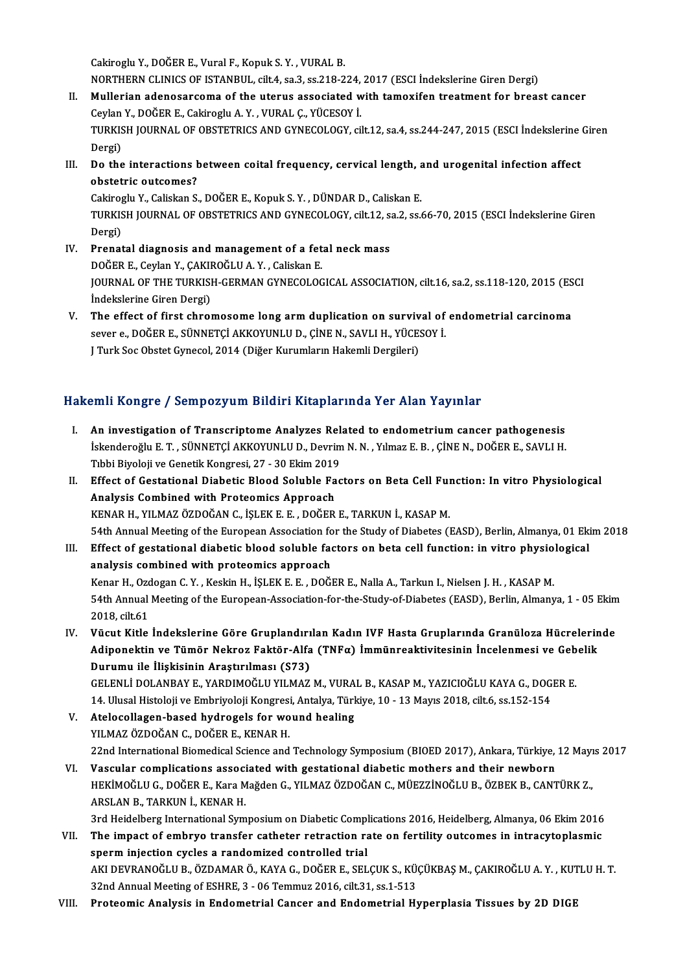CakirogluY.,DOĞERE.,VuralF.,KopukS.Y. ,VURALB.

Cakiroglu Y., DOĞER E., Vural F., Kopuk S. Y. , VURAL B.<br>NORTHERN CLINICS OF ISTANBUL, cilt.4, sa.3, ss.218-224, 2017 (ESCI İndekslerine Giren Dergi)<br>Mullerian adapasarsama of the utanus assosiated with tamovifan trastmant

- II. Mullerian adenosarcoma of the uterus associated with tamoxifen treatment for breast cancer NORTHERN CLINICS OF ISTANBUL, cilt.4, sa.3, ss.218-224,<br>Mullerian adenosarcoma of the uterus associated w<br>Ceylan Y., DOĞER E., Cakiroglu A.Y. , VURAL Ç., YÜCESOY İ.<br>TURKISH JOURNAL OF OBSTETRICS AND CYNECOLOGY sil TURKISH JOURNAL OF OBSTETRICS AND GYNECOLOGY, cilt.12, sa.4, ss.244-247, 2015 (ESCI İndekslerine Giren<br>Dergi) Ceylan Y., DOĞER E., Cakiroglu A. Y., VURAL Ç., YÜCESOY İ. TURKISH JOURNAL OF OBSTETRICS AND GYNECOLOGY, cilt.12, sa.4, ss.244-247, 2015 (ESCI İndekslerine<br>Dergi)<br>III. Do the interactions between coital frequency, cervical length, and urogenital infection affect<br>obstatric outcomos
- Dergi)<br>Do the interactions b<br>obstetric outcomes?<br>Cakinaghu Y. Caliskan S. Do the interactions between coital frequency, cervical length, a<br>obstetric outcomes?<br>Cakiroglu Y., Caliskan S., DOĞER E., Kopuk S.Y. , DÜNDAR D., Caliskan E.<br>TURKISH JOURNAL OF OPSTETRICS AND CYNECOLOGY silt 12, SR 2, SS 4

obstetric outcomes?<br>Cakiroglu Y., Caliskan S., DOĞER E., Kopuk S. Y. , DÜNDAR D., Caliskan E.<br>TURKISH JOURNAL OF OBSTETRICS AND GYNECOLOGY, cilt.12, sa.2, ss.66-70, 2015 (ESCI İndekslerine Giren<br>Dergi) Cakiroglu Y., Caliskan S., DOĞER E., Kopuk S. Y., DÜNDAR D., Caliskan E. TURKISH JOURNAL OF OBSTETRICS AND GYNECOLOGY, cilt.12, solding a pergi)<br>IV. Prenatal diagnosis and management of a fetal neck mass<br>DOČER E. Covian Y. CAKIROČLIJA Y. Coliskan E.

- Dergi)<br><mark>Prenatal diagnosis and management of a fet</mark><br>DOĞER E., Ceylan Y., ÇAKIROĞLU A. Y. , Caliskan E.<br>JOUPNAL OF THE TURKISH GERMAN CYNECOLOG Prenatal diagnosis and management of a fetal neck mass<br>DOĞER E., Ceylan Y., ÇAKIROĞLU A. Y. , Caliskan E.<br>JOURNAL OF THE TURKISH-GERMAN GYNECOLOGICAL ASSOCIATION, cilt.16, sa.2, ss.118-120, 2015 (ESCI<br>İndekalerine Ciren De DOĞER E., Ceylan Y., ÇAKII<br>JOURNAL OF THE TURKISI<br>İndekslerine Giren Dergi)<br>The offect of finst chroj JOURNAL OF THE TURKISH-GERMAN GYNECOLOGICAL ASSOCIATION, cilt.16, sa.2, ss.118-120, 2015 (ES<br>
Indekslerine Giren Dergi)<br>
V. The effect of first chromosome long arm duplication on survival of endometrial carcinoma<br>
sayon a
- İndekslerine Giren Dergi)<br>The effect of first chromosome long arm duplication on survival of<br>sever e., DOĞER E., SÜNNETÇİ AKKOYUNLU D., ÇİNE N., SAVLI H., YÜCESOY İ.<br>LTurk See Obstat Cunesel 2014 (Diğer Kurumların Hakamli The effect of first chromosome long arm duplication on surviv<br>sever e., DOĞER E., SÜNNETÇİ AKKOYUNLU D., ÇİNE N., SAVLI H., YÜCES<br>J Turk Soc Obstet Gynecol, 2014 (Diğer Kurumların Hakemli Dergileri) J Turk Soc Obstet Gynecol, 2014 (Diğer Kurumların Hakemli Dergileri)<br>Hakemli Kongre / Sempozyum Bildiri Kitaplarında Yer Alan Yayınlar

I. An investigation of Transcriptome Analyzes Related to endometrium cancer pathogenesis İskenderoğlu E.T., SÜNNETÇİ AKKOYUNLU D., Devrim N.N., Yılmaz E. B., ÇİNE N., DOĞER E., SAVLI H.<br>İskenderoğlu E.T., SÜNNETÇİ AKKOYUNLU D., Devrim N.N., Yılmaz E. B., ÇİNE N., DOĞER E., SAVLI H.<br>Tıbbi Pivalaji ve Canatik Ko An investigation of Transcriptome Analyzes Rel<br>İskenderoğlu E. T. , SÜNNETÇİ AKKOYUNLU D., Devrim<br>Tıbbi Biyoloji ve Genetik Kongresi, 27 - 30 Ekim 2019<br>Effect of Cestational Diabetis Blood Soluble Ess Iskenderoğlu E. T. , SÜNNETÇİ AKKOYUNLU D., Devrim N. N. , Yılmaz E. B. , ÇİNE N., DOĞER E., SAVLI H.<br>Tıbbi Biyoloji ve Genetik Kongresi, 27 - 30 Ekim 2019<br>II. Effect of Gestational Diabetic Blood Soluble Factors on Beta C

Tibbi Biyoloji ve Genetik Kongresi, 27 - 30 Ekim 2019<br>Effect of Gestational Diabetic Blood Soluble Fa<br>Analysis Combined with Proteomics Approach<br>KENAR H. VII MAZ ÖZDOČAN C. İSLEK E.E., DOČER Effect of Gestational Diabetic Blood Soluble Factors on Beta Cell Ful<br>Analysis Combined with Proteomics Approach<br>KENAR H., YILMAZ ÖZDOĞAN C., İŞLEK E. E. , DOĞER E., TARKUN İ., KASAP M.<br>E4th Annual Meeting of the European 655 Analysis Combined with Proteomics Approach<br>Thannual Meeting of the European Association for the Study of Diabetes (EASD), Berlin, Almanya, 01 Ekim 2018<br>Thannual Meeting of the European Association for the Study of Diab I I. KENAR H., YILMAZ ÖZDOĞAN C., İŞLEK E. E. , DOĞER E., TARKUN İ., KASAP M.<br>54th Annual Meeting of the European Association for the Study of Diabetes (EASD), Berlin, Almanya, 01 Eki<br>III. Effect of gestational diabetic bl

- 54th Annual Meeting of the European Association fo<br>Effect of gestational diabetic blood soluble face<br>analysis combined with proteomics approach<br>Kanar H. Ordegan C. Y., Kaskin H. İSLEKE E., DOČI Effect of gestational diabetic blood soluble factors on beta cell function: in vitro physiol<br>analysis combined with proteomics approach<br>Kenar H., Ozdogan C.Y. , Keskin H., İŞLEK E. E. , DOĞER E., Nalla A., Tarkun I., Niels analysis combined with proteomics approach<br>Kenar H., Ozdogan C. Y. , Keskin H., İŞLEK E. E. , DOĞER E., Nalla A., Tarkun I., Nielsen J. H. , KASAP M.<br>54th Annual Meeting of the European-Association-for-the-Study-of-Diabete Kenar H., Ozdogan C. Y., Keskin H., İŞLEK E. E., DOĞER E., Nalla A., Tarkun I., Nielsen J. H., KASAP M. 54th Annual Meeting of the European-Association-for-the-Study-of-Diabetes (EASD), Berlin, Almanya, 1 - 05 Ekim<br>2018, cilt.61<br>IV. Vücut Kitle İndekslerine Göre Gruplandırılan Kadın IVF Hasta Gruplarında Granüloza Hücrelerin
- 2018, cilt.61<br>Vücut Kitle İndekslerine Göre Gruplandırılan Kadın IVF Hasta Gruplarında Granüloza Hücrelerin<br>Adiponektin ve Tümör Nekroz Faktör-Alfa (TNFα) İmmünreaktivitesinin İncelenmesi ve Gebelik<br>Durumu ile İliskisinin Vücut Kitle İndekslerine Göre Gruplandırı<br>Adiponektin ve Tümör Nekroz Faktör-Alfa<br>Durumu ile İlişkisinin Araştırılması (S73)<br>CELENLİ DOLANBAY E, YARDIMOČLU VU MAZ Adiponektin ve Tümör Nekroz Faktör-Alfa (TNFα) İmmünreaktivitesinin İncelenmesi ve Gebelik<br>Durumu ile İlişkisinin Araştırılması (S73)<br>GELENLİ DOLANBAY E., YARDIMOĞLU YILMAZ M., VURAL B., KASAP M., YAZICIOĞLU KAYA G., DOGE Durumu ile İlişkisinin Araştırılması (S73)<br>GELENLİ DOLANBAY E., YARDIMOĞLU YILMAZ M., VURAL B., KASAP M., YAZICIOĞLU KAYA G., DOG<br>14. Ulusal Histoloji ve Embriyoloji Kongresi, Antalya, Türkiye, 10 - 13 Mayıs 2018, cilt.6,

GELENLİ DOLANBAY E., YARDIMOĞLU YILMAZ M., VURA<br>14. Ulusal Histoloji ve Embriyoloji Kongresi, Antalya, Türk<br>V. Atelocollagen-based hydrogels for wound healing<br>V.U MAZ ÖZDOĞAN C. DOĞER E. KENAR H

- 14. Ulusal Histoloji ve Embriyoloji Kongresi<br>Atelocollagen-based hydrogels for wo<br>YILMAZ ÖZDOĞAN C., DOĞER E., KENAR H.<br>22nd International Biamediaal Science and Atelocollagen-based hydrogels for wound healing<br>YILMAZ ÖZDOĞAN C., DOĞER E., KENAR H.<br>22nd International Biomedical Science and Technology Symposium (BIOED 2017), Ankara, Türkiye, 12 Mayıs 2017<br>Vessular semplisations assoc
- YILMAZ ÖZDOĞAN C., DOĞER E., KENAR H.<br>22nd International Biomedical Science and Technology Symposium (BIOED 2017), Ankara, Türkiye, 12 Mayı<br>1. Vascular complications associated with gestational diabetic mothers and their n 22nd International Biomedical Science and Technology Symposium (BIOED 2017), Ankara, Türkiye, 12 Mayı<br>Vascular complications associated with gestational diabetic mothers and their newborn<br>HEKİMOĞLU G., DOĞER E., Kara Mağde ARSLANB.,TARKUNİ.,KENARH.

3rd Heidelberg International Symposium on Diabetic Complications 2016, Heidelberg, Almanya, 06 Ekim 2016

- ARSLAN B., TARKUN İ., KENAR H.<br>3rd Heidelberg International Symposium on Diabetic Complications 2016, Heidelberg, Almanya, 06 Ekim 2016<br>VII. The impact of embryo transfer catheter retraction rate on fertility outcomes 3rd Heidelberg International Symposium on Diabetic Compl<br>The impact of embryo transfer catheter retraction randomized controlled trial<br>AKLDEVRANOČLU P. ÖZDAMAR Ö. KAVA G. DOČER E. SEL The impact of embryo transfer catheter retraction rate on fertility outcomes in intracytoplasmic<br>sperm injection cycles a randomized controlled trial<br>AKI DEVRANOĞLU B., ÖZDAMAR Ö., KAYA G., DOĞER E., SELÇUK S., KÜÇÜKBAŞ M. sperm injection cycles a randomized controlled trial<br>AKI DEVRANOĞLU B., ÖZDAMAR Ö., KAYA G., DOĞER E., SELÇUK S., KÜ<br>32nd Annual Meeting of ESHRE, 3 - 06 Temmuz 2016, cilt.31, ss.1-513<br>Prataamia Analysia in Endomatrial Can AKI DEVRANOĞLU B., ÖZDAMAR Ö., KAYA G., DOĞER E., SELÇUK S., KÜÇÜKBAŞ M., ÇAKIROĞLU A. Y. , KUT<br>32nd Annual Meeting of ESHRE, 3 - 06 Temmuz 2016, cilt.31, ss.1-513<br>VIII. Proteomic Analysis in Endometrial Cancer and End
-